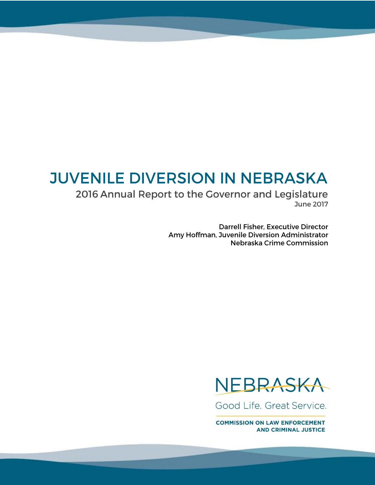# **JUVENILE DIVERSION IN NEBRASKA**

2016 Annual Report to the Governor and Legislature **June 2017** 

> **Darrell Fisher, Executive Director** Amy Hoffman, Juvenile Diversion Administrator Nebraska Crime Commission



Good Life, Great Service.

**COMMISSION ON LAW ENFORCEMENT AND CRIMINAL JUSTICE**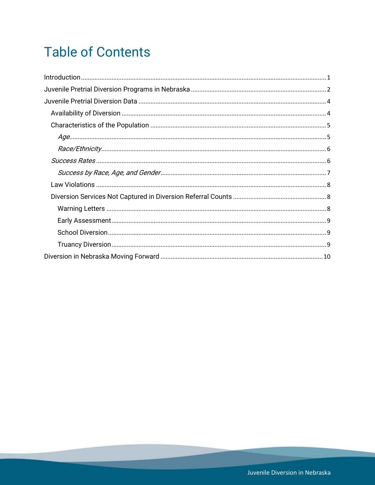# **Table of Contents**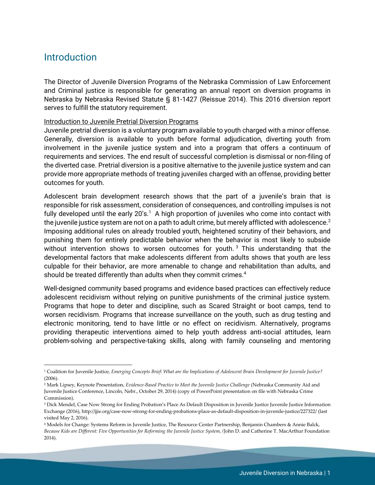## <span id="page-2-0"></span>**Introduction**

 $\overline{\phantom{a}}$ 

The Director of Juvenile Diversion Programs of the Nebraska Commission of Law Enforcement and Criminal justice is responsible for generating an annual report on diversion programs in Nebraska by Nebraska Revised Statute § 81-1427 (Reissue 2014). This 2016 diversion report serves to fulfill the statutory requirement.

#### Introduction to Juvenile Pretrial Diversion Programs

Juvenile pretrial diversion is a voluntary program available to youth charged with a minor offense. Generally, diversion is available to youth before formal adjudication, diverting youth from involvement in the juvenile justice system and into a program that offers a continuum of requirements and services. The end result of successful completion is dismissal or non-filing of the diverted case. Pretrial diversion is a positive alternative to the juvenile justice system and can provide more appropriate methods of treating juveniles charged with an offense, providing better outcomes for youth.

Adolescent brain development research shows that the part of a juvenile's brain that is responsible for risk assessment, consideration of consequences, and controlling impulses is not fully developed until the early 20's.<sup>1</sup> A high proportion of juveniles who come into contact with the juvenile justice system are not on a path to adult crime, but merely afflicted with adolescence.<sup>2</sup> Imposing additional rules on already troubled youth, heightened scrutiny of their behaviors, and punishing them for entirely predictable behavior when the behavior is most likely to subside without intervention shows to worsen outcomes for youth.<sup>3</sup> This understanding that the developmental factors that make adolescents different from adults shows that youth are less culpable for their behavior, are more amenable to change and rehabilitation than adults, and should be treated differently than adults when they commit crimes. $4$ 

Well-designed community based programs and evidence based practices can effectively reduce adolescent recidivism without relying on punitive punishments of the criminal justice system. Programs that hope to deter and discipline, such as Scared Straight or boot camps, tend to worsen recidivism. Programs that increase surveillance on the youth, such as drug testing and electronic monitoring, tend to have little or no effect on recidivism. Alternatively, programs providing therapeutic interventions aimed to help youth address anti-social attitudes, learn problem-solving and perspective-taking skills, along with family counseling and mentoring

<sup>1</sup> Coalition for Juvenile Justice, *Emerging Concepts Brief: What are the Implications of Adolescent Brain Development for Juvenile Justice?* (2006).

<sup>2</sup> Mark Lipsey, Keynote Presentation, *Evidence-Based Practice to Meet the Juvenile Justice Challenge* (Nebraska Community Aid and Juvenile Justice Conference, Lincoln, Nebr., October 29, 2014) (copy of PowerPoint presentation on file with Nebraska Crime Commission).

<sup>&</sup>lt;sup>3</sup> Dick Mendel, Case Now Strong for Ending Probation's Place As Default Disposition in Juvenile Justice Juvenile Justice Information Exchange (2016), http://jjie.org/case-now-strong-for-ending-probations-place-as-default-disposition-in-juvenile-justice/227322/ (last visited May 2, 2016).

<sup>4</sup> Models for Change: Systems Reform in Juvenile Justice, The Resource Center Partnership, Benjamin Chambers & Annie Balck, *Because Kids are Different: Five Opportunities for Reforming the Juvenile Justice System, (*John D. and Catherine T. MacArthur Foundation 2014).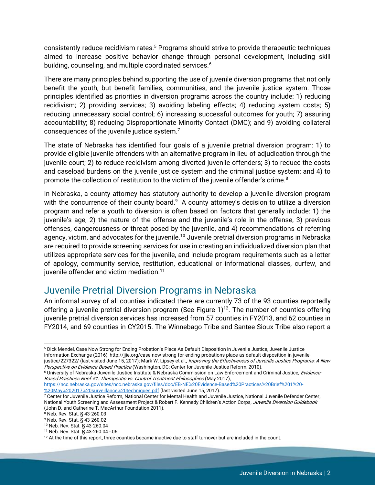consistently reduce recidivism rates.<sup>5</sup> Programs should strive to provide therapeutic techniques aimed to increase positive behavior change through personal development, including skill building, counseling, and multiple coordinated services.<sup>6</sup>

There are many principles behind supporting the use of juvenile diversion programs that not only benefit the youth, but benefit families, communities, and the juvenile justice system. Those principles identified as priorities in diversion programs across the country include: 1) reducing recidivism; 2) providing services; 3) avoiding labeling effects; 4) reducing system costs; 5) reducing unnecessary social control; 6) increasing successful outcomes for youth; 7) assuring accountability; 8) reducing Disproportionate Minority Contact (DMC); and 9) avoiding collateral consequences of the juvenile justice system. $^7$ 

The state of Nebraska has identified four goals of a juvenile pretrial diversion program: 1) to provide eligible juvenile offenders with an alternative program in lieu of adjudication through the juvenile court; 2) to reduce recidivism among diverted juvenile offenders; 3) to reduce the costs and caseload burdens on the juvenile justice system and the criminal justice system; and 4) to promote the collection of restitution to the victim of the juvenile offender's crime.<sup>8</sup>

In Nebraska, a county attorney has statutory authority to develop a juvenile diversion program with the concurrence of their county board. $9$  A county attorney's decision to utilize a diversion program and refer a youth to diversion is often based on factors that generally include: 1) the juvenile's age, 2) the nature of the offense and the juvenile's role in the offense, 3) previous offenses, dangerousness or threat posed by the juvenile, and 4) recommendations of referring agency, victim, and advocates for the juvenile.<sup>10</sup> Juvenile pretrial diversion programs in Nebraska are required to provide screening services for use in creating an individualized diversion plan that utilizes appropriate services for the juvenile, and include program requirements such as a letter of apology, community service, restitution, educational or informational classes, curfew, and juvenile offender and victim mediation.<sup>11</sup>

# <span id="page-3-0"></span>Juvenile Pretrial Diversion Programs in Nebraska

An informal survey of all counties indicated there are currently 73 of the 93 counties reportedly offering a juvenile pretrial diversion program (See Figure 1)<sup>12</sup>. The number of counties offering juvenile pretrial diversion services has increased from 57 counties in FY2013, and 62 counties in FY2014, and 69 counties in CY2015. The Winnebago Tribe and Santee Sioux Tribe also report a

[https://ncc.nebraska.gov/sites/ncc.nebraska.gov/files/doc/EB-NE%20Evidence-Based%20Practices%20Brief%201%20-](https://ncc.nebraska.gov/sites/ncc.nebraska.gov/files/doc/EB-NE%20Evidence-Based%20Practices%20Brief%201%20-%20May%202017%20surveillance%20techniques.pdf) [%20May%202017%20surveillance%20techniques.pdf](https://ncc.nebraska.gov/sites/ncc.nebraska.gov/files/doc/EB-NE%20Evidence-Based%20Practices%20Brief%201%20-%20May%202017%20surveillance%20techniques.pdf) (last visited June 15, 2017).

<sup>7</sup> Center for Juvenile Justice Reform, National Center for Mental Health and Juvenile Justice, National Juvenile Defender Center, National Youth Screening and Assessment Project & Robert F. Kennedy Children's Action Corps, Juvenile Diversion Guidebook (John D. and Catherine T. MacArthur Foundation 2011).

 $8$  Neb. Rev. Stat. § 43-260.03

 $\overline{\phantom{a}}$ <sup>5</sup> Dick Mendel, Case Now Strong for Ending Probation's Place As Default Disposition in Juvenile Justice, Juvenile Justice Information Exchange (2016), http://jjie.org/case-now-strong-for-ending-probations-place-as-default-disposition-in-juvenilejustice/227322/ (last visited June 15, 2017); Mark W. Lipsey et al., Improving the Effectiveness of Juvenile Justice Programs: A New

Perspective on Evidence-Based Practice (Washington, DC: Center for Juvenile Justice Reform, 2010). <sup>6</sup> University of Nebraska Juvenile Justice Institute & Nebraska Commission on Law Enforcement and Criminal Justice, Evidence-Based Practices Brief #1: Therapeutic vs. Control Treatment Philosophies (May 2017),

<sup>9</sup> Neb. Rev. Stat. § 43-260.02

<sup>10</sup> Neb. Rev. Stat. § 43-260.04

<sup>11</sup> Neb. Rev. Stat. § 43-260.04 -.06

<sup>&</sup>lt;sup>12</sup> At the time of this report, three counties became inactive due to staff turnover but are included in the count.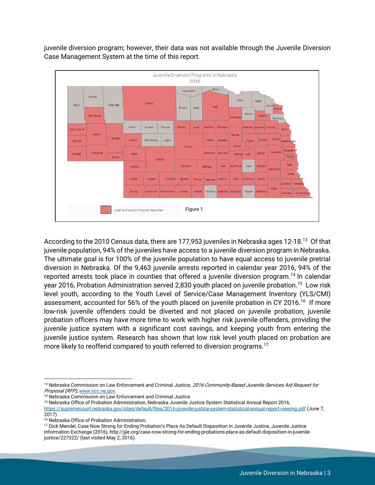

juvenile diversion program; however, their data was not available through the Juvenile Diversion Case Management System at the time of this report.

According to the 2010 Census data, there are 177,953 juveniles in Nebraska ages 12-18.<sup>13</sup> Of that juvenile population, 94% of the juveniles have access to a juvenile diversion program in Nebraska. The ultimate goal is for 100% of the juvenile population to have equal access to juvenile pretrial diversion in Nebraska. Of the 9,463 juvenile arrests reported in calendar year 2016, 94% of the reported arrests took place in counties that offered a juvenile diversion program.<sup>14</sup> In calendar year 2016, Probation Administration served 2,830 youth placed on juvenile probation.<sup>15</sup> Low risk level youth, according to the Youth Level of Service/Case Management Inventory (YLS/CMI) assessment, accounted for 56% of the youth placed on juvenile probation in CY 2016.<sup>16</sup> If more low-risk juvenile offenders could be diverted and not placed on juvenile probation, juvenile probation officers may have more time to work with higher risk juvenile offenders, providing the juvenile justice system with a significant cost savings, and keeping youth from entering the juvenile justice system. Research has shown that low risk level youth placed on probation are more likely to reoffend compared to youth referred to diversion programs.<sup>17</sup>

Figure 1

Franklin

Euroas

Thayer

Dundy

Juvenile Diversion Program Reported

l <sup>13</sup> Nebraska Commission on Law Enforcement and Criminal Justice, 2016 Community-Based Juvenile Services Aid Request for Proposal (RFP), [www.ncc.ne.gov.](http://www.ncc.ne.gov/)

<sup>&</sup>lt;sup>14</sup> Nebraska Commission on Law Enforcement and Criminal Justice.

<sup>15</sup> Nebraska Office of Probation Administration, Nebraska Juvenile Justice System Statistical Annual Report 2016, <https://supremecourt.nebraska.gov/sites/default/files/2016-juvenile-justice-system-statistical-annual-report-viewing.pdf> (June 7, 2017).

<sup>16</sup> Nebraska Office of Probation Administration.

<sup>&</sup>lt;sup>17</sup> Dick Mendel, Case Now Strong for Ending Probation's Place As Default Disposition in Juvenile Justice, Juvenile Justice Information Exchange (2016), http://jjie.org/case-now-strong-for-ending-probations-place-as-default-disposition-in-juvenilejustice/227322/ (last visited May 2, 2016).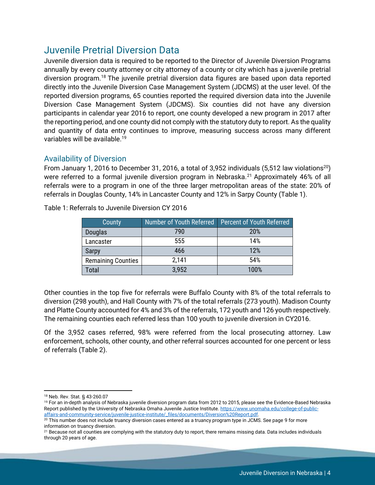## <span id="page-5-0"></span>Juvenile Pretrial Diversion Data

Juvenile diversion data is required to be reported to the Director of Juvenile Diversion Programs annually by every county attorney or city attorney of a county or city which has a juvenile pretrial diversion program.<sup>18</sup> The juvenile pretrial diversion data figures are based upon data reported directly into the Juvenile Diversion Case Management System (JDCMS) at the user level. Of the reported diversion programs, 65 counties reported the required diversion data into the Juvenile Diversion Case Management System (JDCMS). Six counties did not have any diversion participants in calendar year 2016 to report, one county developed a new program in 2017 after the reporting period, and one county did not comply with the statutory duty to report. As the quality and quantity of data entry continues to improve, measuring success across many different variables will be available.<sup>19</sup>

## <span id="page-5-1"></span>Availability of Diversion

From January 1, 2016 to December 31, 2016, a total of 3,952 individuals (5,512 law violations<sup>20</sup>) were referred to a formal juvenile diversion program in Nebraska.<sup>21</sup> Approximately 46% of all referrals were to a program in one of the three larger metropolitan areas of the state: 20% of referrals in Douglas County, 14% in Lancaster County and 12% in Sarpy County (Table 1).

| County                    | Number of Youth Referred | Percent of Youth Referred |
|---------------------------|--------------------------|---------------------------|
| <b>Douglas</b>            | 790                      | 20%                       |
| Lancaster                 | 555                      | 14%                       |
| <b>Sarpy</b>              | 466                      | 12%                       |
| <b>Remaining Counties</b> | 2,141                    | 54%                       |
| Total                     | 3,952                    | 100%                      |

Table 1: Referrals to Juvenile Diversion CY 2016

Other counties in the top five for referrals were Buffalo County with 8% of the total referrals to diversion (298 youth), and Hall County with 7% of the total referrals (273 youth). Madison County and Platte County accounted for 4% and 3% of the referrals, 172 youth and 126 youth respectively. The remaining counties each referred less than 100 youth to juvenile diversion in CY2016.

Of the 3,952 cases referred, 98% were referred from the local prosecuting attorney. Law enforcement, schools, other county, and other referral sources accounted for one percent or less of referrals (Table 2).

 $\overline{\phantom{a}}$ <sup>18</sup> Neb. Rev. Stat. § 43-260.07

<sup>&</sup>lt;sup>19</sup> For an in-depth analysis of Nebraska juvenile diversion program data from 2012 to 2015, please see the Evidence-Based Nebraska Report published by the University of Nebraska Omaha Juvenile Justice Institute. [https://www.unomaha.edu/college-of-public](https://www.unomaha.edu/college-of-public-affairs-and-community-service/juvenile-justice-institute/_files/documents/Diversion%20Report.pdf)[affairs-and-community-service/juvenile-justice-institute/\\_files/documents/Diversion%20Report.pdf.](https://www.unomaha.edu/college-of-public-affairs-and-community-service/juvenile-justice-institute/_files/documents/Diversion%20Report.pdf)

<sup>&</sup>lt;sup>20</sup> This number does not include truancy diversion cases entered as a truancy program type in JCMS. See page 9 for more information on truancy diversion.

<sup>&</sup>lt;sup>21</sup> Because not all counties are complying with the statutory duty to report, there remains missing data. Data includes individuals through 20 years of age.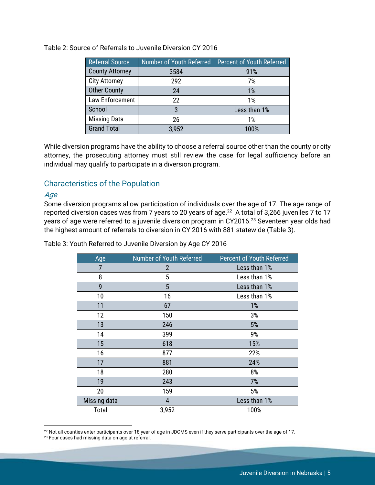| <b>Referral Source</b> | Number of Youth Referred | Percent of Youth Referred |  |  |
|------------------------|--------------------------|---------------------------|--|--|
| <b>County Attorney</b> | 3584                     | 91%                       |  |  |
| <b>City Attorney</b>   | 292                      | 7%                        |  |  |
| <b>Other County</b>    | 24                       | 1%                        |  |  |
| Law Enforcement        | 22                       | 1%                        |  |  |
| School                 | 3                        | Less than 1%              |  |  |
| <b>Missing Data</b>    | 26                       | 1%                        |  |  |
| <b>Grand Total</b>     | 3,952                    | 100%                      |  |  |

Table 2: Source of Referrals to Juvenile Diversion CY 2016

While diversion programs have the ability to choose a referral source other than the county or city attorney, the prosecuting attorney must still review the case for legal sufficiency before an individual may qualify to participate in a diversion program.

### <span id="page-6-0"></span>Characteristics of the Population

#### <span id="page-6-1"></span>Age

 $\overline{a}$ 

Some diversion programs allow participation of individuals over the age of 17. The age range of reported diversion cases was from 7 years to 20 years of age. $^{22}$  A total of 3,266 juveniles 7 to 17 years of age were referred to a juvenile diversion program in CY2016.<sup>23</sup> Seventeen year olds had the highest amount of referrals to diversion in CY 2016 with 881 statewide (Table 3).

Table 3: Youth Referred to Juvenile Diversion by Age CY 2016

| Age          | Number of Youth Referred | <b>Percent of Youth Referred</b> |
|--------------|--------------------------|----------------------------------|
| 7            | 2                        | Less than 1%                     |
| 8            | 5                        | Less than 1%                     |
| 9            | 5                        | Less than 1%                     |
| 10           | 16                       | Less than 1%                     |
| 11           | 67                       | 1%                               |
| 12           | 150                      | 3%                               |
| 13           | 246                      | 5%                               |
| 14           | 399                      | 9%                               |
| 15           | 618                      | 15%                              |
| 16           | 877                      | 22%                              |
| 17           | 881                      | 24%                              |
| 18           | 280                      | 8%                               |
| 19           | 243                      | 7%                               |
| 20           | 159                      | 5%                               |
| Missing data | 4                        | Less than 1%                     |
| Total        | 3,952                    | 100%                             |

<sup>&</sup>lt;sup>22</sup> Not all counties enter participants over 18 year of age in JDCMS even if they serve participants over the age of 17.

<sup>&</sup>lt;sup>23</sup> Four cases had missing data on age at referral.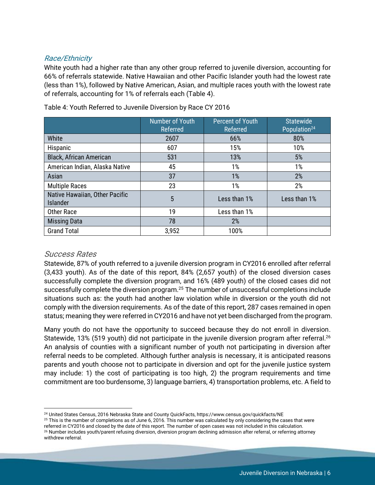#### <span id="page-7-0"></span>Race/Ethnicity

White youth had a higher rate than any other group referred to juvenile diversion, accounting for 66% of referrals statewide. Native Hawaiian and other Pacific Islander youth had the lowest rate (less than 1%), followed by Native American, Asian, and multiple races youth with the lowest rate of referrals, accounting for 1% of referrals each (Table 4).

|                                                   | <b>Number of Youth</b><br>Referred | <b>Percent of Youth</b><br>Referred | <b>Statewide</b><br>Population <sup>24</sup> |  |
|---------------------------------------------------|------------------------------------|-------------------------------------|----------------------------------------------|--|
| White                                             | 2607                               | 66%                                 | 80%                                          |  |
| Hispanic                                          | 607                                | 15%                                 | 10%                                          |  |
| <b>Black, African American</b>                    | 531                                | 13%                                 | 5%                                           |  |
| American Indian, Alaska Native                    | 45                                 | 1%                                  | 1%                                           |  |
| Asian                                             | 37                                 | 1%                                  | 2%                                           |  |
| <b>Multiple Races</b>                             | 23                                 | 1%                                  | 2%                                           |  |
| Native Hawaiian, Other Pacific<br><b>Islander</b> | 5                                  | Less than 1%                        | Less than 1%                                 |  |
| <b>Other Race</b>                                 | 19                                 | Less than 1%                        |                                              |  |
| <b>Missing Data</b>                               | 78                                 | 2%                                  |                                              |  |
| <b>Grand Total</b>                                | 3,952                              | 100%                                |                                              |  |

Table 4: Youth Referred to Juvenile Diversion by Race CY 2016

#### <span id="page-7-1"></span>Success Rates

Statewide, 87% of youth referred to a juvenile diversion program in CY2016 enrolled after referral (3,433 youth). As of the date of this report, 84% (2,657 youth) of the closed diversion cases successfully complete the diversion program, and 16% (489 youth) of the closed cases did not successfully complete the diversion program.<sup>25</sup> The number of unsuccessful completions include situations such as: the youth had another law violation while in diversion or the youth did not comply with the diversion requirements. As of the date of this report, 287 cases remained in open status; meaning they were referred in CY2016 and have not yet been discharged from the program.

Many youth do not have the opportunity to succeed because they do not enroll in diversion. Statewide, 13% (519 youth) did not participate in the juvenile diversion program after referral.<sup>26</sup> An analysis of counties with a significant number of youth not participating in diversion after referral needs to be completed. Although further analysis is necessary, it is anticipated reasons parents and youth choose not to participate in diversion and opt for the juvenile justice system may include: 1) the cost of participating is too high, 2) the program requirements and time commitment are too burdensome, 3) language barriers, 4) transportation problems, etc. A field to

l <sup>24</sup> United States Census, 2016 Nebraska State and County QuickFacts, https://www.census.gov/quickfacts/NE

 $25$  This is the number of completions as of June 6, 2016. This number was calculated by only considering the cases that were referred in CY2016 and closed by the date of this report. The number of open cases was not included in this calculation. <sup>26</sup> Number includes youth/parent refusing diversion, diversion program declining admission after referral, or referring attorney withdrew referral.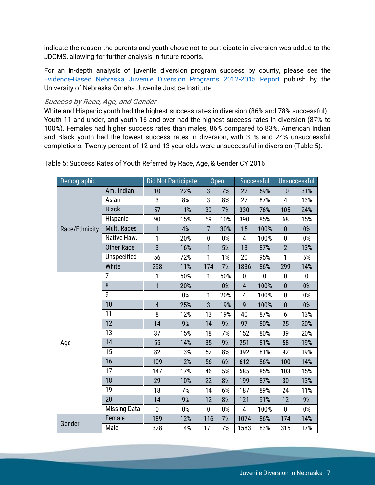indicate the reason the parents and youth chose not to participate in diversion was added to the JDCMS, allowing for further analysis in future reports.

For an in-depth analysis of juvenile diversion program success by county, please see the [Evidence-Based Nebraska Juvenile Diversion Programs 2012-2015 Report](https://www.unomaha.edu/college-of-public-affairs-and-community-service/juvenile-justice-institute/_files/documents/Diversion%20Report.pdf) publish by the University of Nebraska Omaha Juvenile Justice Institute.

#### <span id="page-8-0"></span>Success by Race, Age, and Gender

White and Hispanic youth had the highest success rates in diversion (86% and 78% successful). Youth 11 and under, and youth 16 and over had the highest success rates in diversion (87% to 100%). Females had higher success rates than males, 86% compared to 83%. American Indian and Black youth had the lowest success rates in diversion, with 31% and 24% unsuccessful completions. Twenty percent of 12 and 13 year olds were unsuccessful in diversion (Table 5).

| Demographic    |                     |                | Did Not Participate |                | <b>Open</b> |                | Successful |                         | Unsuccessful |
|----------------|---------------------|----------------|---------------------|----------------|-------------|----------------|------------|-------------------------|--------------|
|                | Am. Indian          | 10             | 22%                 | 3              | 7%          | 22             | 69%        | 10                      | 31%          |
|                | Asian               | 3              | 8%                  | 3              | 8%          | 27             | 87%        | $\overline{\mathbf{4}}$ | 13%          |
|                | <b>Black</b>        | 57             | 11%                 | 39             | 7%          | 330            | 76%        | 105                     | 24%          |
|                | Hispanic            | 90             | 15%                 | 59             | 10%         | 390            | 85%        | 68                      | 15%          |
| Race/Ethnicity | Mult. Races         | $\mathbf{1}$   | 4%                  | $\overline{7}$ | 30%         | 15             | 100%       | $\bf{0}$                | 0%           |
|                | Native Haw.         | $\mathbf{1}$   | 20%                 | $\mathbf 0$    | 0%          | 4              | 100%       | $\pmb{0}$               | $0\%$        |
|                | <b>Other Race</b>   | $\overline{3}$ | 16%                 | $\mathbf{1}$   | 5%          | 13             | 87%        | $\overline{2}$          | 13%          |
|                | Unspecified         | 56             | 72%                 | 1              | 1%          | 20             | 95%        | 1                       | 5%           |
|                | White               | 298            | 11%                 | 174            | 7%          | 1836           | 86%        | 299                     | 14%          |
|                | $\overline{7}$      | $\mathbf{1}$   | 50%                 | 1              | 50%         | $\bf{0}$       | $\bf{0}$   | $\pmb{0}$               | $\mathbf 0$  |
|                | 8                   | $\mathbf{1}$   | 20%                 |                | $0\%$       | $\overline{4}$ | 100%       | $\mathbf{0}$            | $0\%$        |
|                | 9                   |                | 0%                  | 1              | 20%         | 4              | 100%       | 0                       | 0%           |
|                | 10                  | $\overline{4}$ | 25%                 | 3              | 19%         | 9              | 100%       | $\bf{0}$                | $0\%$        |
|                | 11                  | 8              | 12%                 | 13             | 19%         | 40             | 87%        | 6                       | 13%          |
|                | 12                  | 14             | 9%                  | 14             | 9%          | 97             | 80%        | 25                      | 20%          |
|                | 13                  | 37             | 15%                 | 18             | 7%          | 152            | 80%        | 39                      | 20%          |
| Age            | 14                  | 55             | 14%                 | 35             | 9%          | 251            | 81%        | 58                      | 19%          |
|                | 15                  | 82             | 13%                 | 52             | 8%          | 392            | 81%        | 92                      | 19%          |
|                | 16                  | 109            | 12%                 | 56             | 6%          | 612            | 86%        | 100                     | 14%          |
|                | 17                  | 147            | 17%                 | 46             | 5%          | 585            | 85%        | 103                     | 15%          |
|                | 18                  | 29             | 10%                 | 22             | 8%          | 199            | 87%        | 30                      | 13%          |
|                | 19                  | 18             | 7%                  | 14             | 6%          | 187            | 89%        | 24                      | 11%          |
|                | 20                  | 14             | 9%                  | 12             | 8%          | 121            | 91%        | 12                      | 9%           |
|                | <b>Missing Data</b> | $\mathbf{0}$   | $0\%$               | 0              | 0%          | 4              | 100%       | $\mathbf 0$             | $0\%$        |
| Gender         | Female              | 189            | 12%                 | 116            | 7%          | 1074           | 86%        | 174                     | 14%          |
|                | Male                | 328            | 14%                 | 171            | 7%          | 1583           | 83%        | 315                     | 17%          |

Table 5: Success Rates of Youth Referred by Race, Age, & Gender CY 2016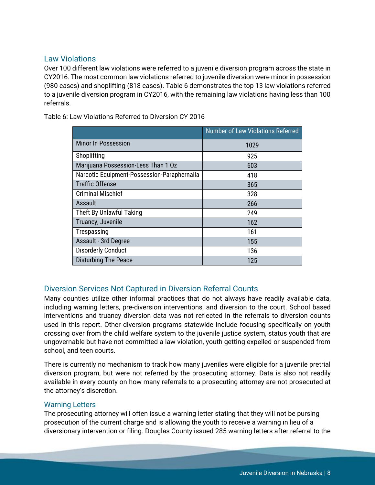### <span id="page-9-0"></span>Law Violations

Over 100 different law violations were referred to a juvenile diversion program across the state in CY2016. The most common law violations referred to juvenile diversion were minor in possession (980 cases) and shoplifting (818 cases). Table 6 demonstrates the top 13 law violations referred to a juvenile diversion program in CY2016, with the remaining law violations having less than 100 referrals.

Table 6: Law Violations Referred to Diversion CY 2016

|                                             | Number of Law Violations Referred |
|---------------------------------------------|-----------------------------------|
| <b>Minor In Possession</b>                  | 1029                              |
| Shoplifting                                 | 925                               |
| Marijuana Possession-Less Than 1 Oz         | 603                               |
| Narcotic Equipment-Possession-Paraphernalia | 418                               |
| <b>Traffic Offense</b>                      | 365                               |
| <b>Criminal Mischief</b>                    | 328                               |
| Assault                                     | 266                               |
| Theft By Unlawful Taking                    | 249                               |
| Truancy, Juvenile                           | 162                               |
| Trespassing                                 | 161                               |
| Assault - 3rd Degree                        | 155                               |
| <b>Disorderly Conduct</b>                   | 136                               |
| <b>Disturbing The Peace</b>                 | 125                               |

## <span id="page-9-1"></span>Diversion Services Not Captured in Diversion Referral Counts

Many counties utilize other informal practices that do not always have readily available data, including warning letters, pre-diversion interventions, and diversion to the court. School based interventions and truancy diversion data was not reflected in the referrals to diversion counts used in this report. Other diversion programs statewide include focusing specifically on youth crossing over from the child welfare system to the juvenile justice system, status youth that are ungovernable but have not committed a law violation, youth getting expelled or suspended from school, and teen courts.

There is currently no mechanism to track how many juveniles were eligible for a juvenile pretrial diversion program, but were not referred by the prosecuting attorney. Data is also not readily available in every county on how many referrals to a prosecuting attorney are not prosecuted at the attorney's discretion.

#### <span id="page-9-2"></span>Warning Letters

The prosecuting attorney will often issue a warning letter stating that they will not be pursing prosecution of the current charge and is allowing the youth to receive a warning in lieu of a diversionary intervention or filing. Douglas County issued 285 warning letters after referral to the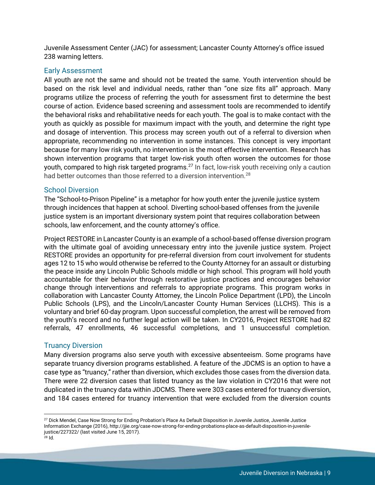Juvenile Assessment Center (JAC) for assessment; Lancaster County Attorney's office issued 238 warning letters.

#### <span id="page-10-0"></span>Early Assessment

All youth are not the same and should not be treated the same. Youth intervention should be based on the risk level and individual needs, rather than "one size fits all" approach. Many programs utilize the process of referring the youth for assessment first to determine the best course of action. Evidence based screening and assessment tools are recommended to identify the behavioral risks and rehabilitative needs for each youth. The goal is to make contact with the youth as quickly as possible for maximum impact with the youth, and determine the right type and dosage of intervention. This process may screen youth out of a referral to diversion when appropriate, recommending no intervention in some instances. This concept is very important because for many low risk youth, no intervention is the most effective intervention. Research has shown intervention programs that target low-risk youth often worsen the outcomes for those youth, compared to high risk targeted programs.<sup>27</sup> In fact, low-risk youth receiving only a caution had better outcomes than those referred to a diversion intervention.<sup>28</sup>

#### <span id="page-10-1"></span>School Diversion

The "School-to-Prison Pipeline" is a metaphor for how youth enter the juvenile justice system through incidences that happen at school. Diverting school-based offenses from the juvenile justice system is an important diversionary system point that requires collaboration between schools, law enforcement, and the county attorney's office.

Project RESTORE in Lancaster County is an example of a school-based offense diversion program with the ultimate goal of avoiding unnecessary entry into the juvenile justice system. Project RESTORE provides an opportunity for pre-referral diversion from court involvement for students ages 12 to 15 who would otherwise be referred to the County Attorney for an assault or disturbing the peace inside any Lincoln Public Schools middle or high school. This program will hold youth accountable for their behavior through restorative justice practices and encourages behavior change through interventions and referrals to appropriate programs. This program works in collaboration with Lancaster County Attorney, the Lincoln Police Department (LPD), the Lincoln Public Schools (LPS), and the Lincoln/Lancaster County Human Services (LLCHS). This is a voluntary and brief 60-day program. Upon successful completion, the arrest will be removed from the youth's record and no further legal action will be taken. In CY2016, Project RESTORE had 82 referrals, 47 enrollments, 46 successful completions, and 1 unsuccessful completion.

#### <span id="page-10-2"></span>Truancy Diversion

 $\overline{\phantom{a}}$ 

Many diversion programs also serve youth with excessive absenteeism. Some programs have separate truancy diversion programs established. A feature of the JDCMS is an option to have a case type as "truancy," rather than diversion, which excludes those cases from the diversion data. There were 22 diversion cases that listed truancy as the law violation in CY2016 that were not duplicated in the truancy data within JDCMS. There were 303 cases entered for truancy diversion, and 184 cases entered for truancy intervention that were excluded from the diversion counts

<sup>&</sup>lt;sup>27</sup> Dick Mendel, Case Now Strong for Ending Probation's Place As Default Disposition in Juvenile Justice, Juvenile Justice Information Exchange (2016), http://jjie.org/case-now-strong-for-ending-probations-place-as-default-disposition-in-juvenilejustice/227322/ (last visited June 15, 2017).  $^{28}$  Id.